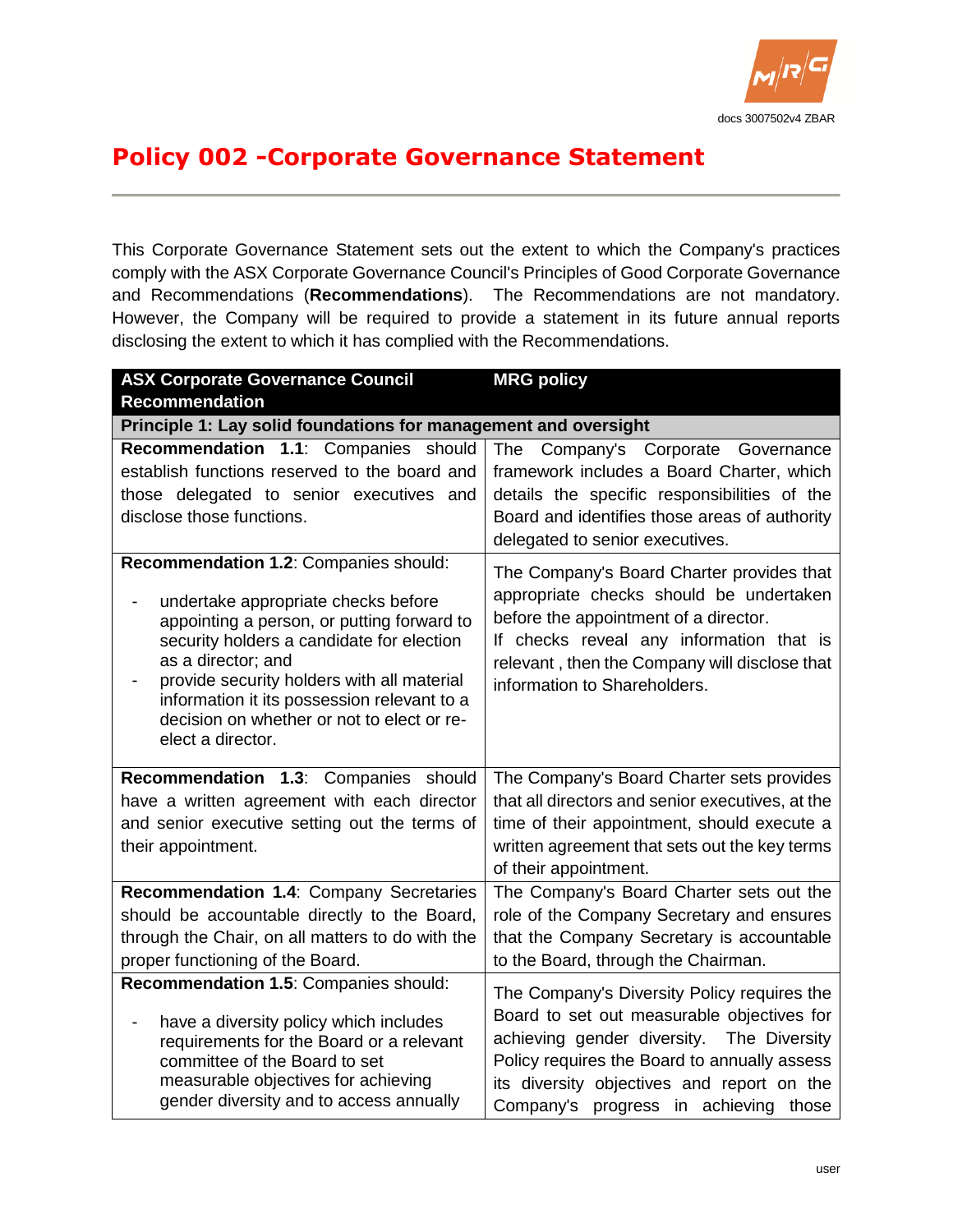

## **Policy 002 -Corporate Governance Statement**

This Corporate Governance Statement sets out the extent to which the Company's practices comply with the ASX Corporate Governance Council's Principles of Good Corporate Governance and Recommendations (**Recommendations**). The Recommendations are not mandatory. However, the Company will be required to provide a statement in its future annual reports disclosing the extent to which it has complied with the Recommendations.

| <b>ASX Corporate Governance Council</b>                                                                                                                                                                                                                                                                                                                       | <b>MRG policy</b>                                                                                                                                                                                                                                          |  |
|---------------------------------------------------------------------------------------------------------------------------------------------------------------------------------------------------------------------------------------------------------------------------------------------------------------------------------------------------------------|------------------------------------------------------------------------------------------------------------------------------------------------------------------------------------------------------------------------------------------------------------|--|
| <b>Recommendation</b>                                                                                                                                                                                                                                                                                                                                         |                                                                                                                                                                                                                                                            |  |
| Principle 1: Lay solid foundations for management and oversight                                                                                                                                                                                                                                                                                               |                                                                                                                                                                                                                                                            |  |
| Recommendation 1.1: Companies should                                                                                                                                                                                                                                                                                                                          | The Company's Corporate Governance                                                                                                                                                                                                                         |  |
| establish functions reserved to the board and                                                                                                                                                                                                                                                                                                                 | framework includes a Board Charter, which                                                                                                                                                                                                                  |  |
| those delegated to senior executives and                                                                                                                                                                                                                                                                                                                      | details the specific responsibilities of the                                                                                                                                                                                                               |  |
| disclose those functions.                                                                                                                                                                                                                                                                                                                                     | Board and identifies those areas of authority                                                                                                                                                                                                              |  |
|                                                                                                                                                                                                                                                                                                                                                               | delegated to senior executives.                                                                                                                                                                                                                            |  |
| Recommendation 1.2: Companies should:<br>undertake appropriate checks before<br>appointing a person, or putting forward to<br>security holders a candidate for election<br>as a director; and<br>provide security holders with all material<br>information it its possession relevant to a<br>decision on whether or not to elect or re-<br>elect a director. | The Company's Board Charter provides that<br>appropriate checks should be undertaken<br>before the appointment of a director.<br>If checks reveal any information that is<br>relevant, then the Company will disclose that<br>information to Shareholders. |  |
| Recommendation 1.3: Companies should                                                                                                                                                                                                                                                                                                                          | The Company's Board Charter sets provides                                                                                                                                                                                                                  |  |
| have a written agreement with each director                                                                                                                                                                                                                                                                                                                   | that all directors and senior executives, at the                                                                                                                                                                                                           |  |
| and senior executive setting out the terms of                                                                                                                                                                                                                                                                                                                 | time of their appointment, should execute a                                                                                                                                                                                                                |  |
| their appointment.                                                                                                                                                                                                                                                                                                                                            | written agreement that sets out the key terms                                                                                                                                                                                                              |  |
|                                                                                                                                                                                                                                                                                                                                                               | of their appointment.                                                                                                                                                                                                                                      |  |
| Recommendation 1.4: Company Secretaries                                                                                                                                                                                                                                                                                                                       | The Company's Board Charter sets out the                                                                                                                                                                                                                   |  |
| should be accountable directly to the Board,                                                                                                                                                                                                                                                                                                                  | role of the Company Secretary and ensures                                                                                                                                                                                                                  |  |
| through the Chair, on all matters to do with the                                                                                                                                                                                                                                                                                                              | that the Company Secretary is accountable                                                                                                                                                                                                                  |  |
| proper functioning of the Board.                                                                                                                                                                                                                                                                                                                              | to the Board, through the Chairman.                                                                                                                                                                                                                        |  |
| Recommendation 1.5: Companies should:                                                                                                                                                                                                                                                                                                                         | The Company's Diversity Policy requires the                                                                                                                                                                                                                |  |
| have a diversity policy which includes<br>requirements for the Board or a relevant<br>committee of the Board to set<br>measurable objectives for achieving<br>gender diversity and to access annually                                                                                                                                                         | Board to set out measurable objectives for<br>achieving gender diversity. The Diversity<br>Policy requires the Board to annually assess<br>its diversity objectives and report on the<br>Company's progress in achieving those                             |  |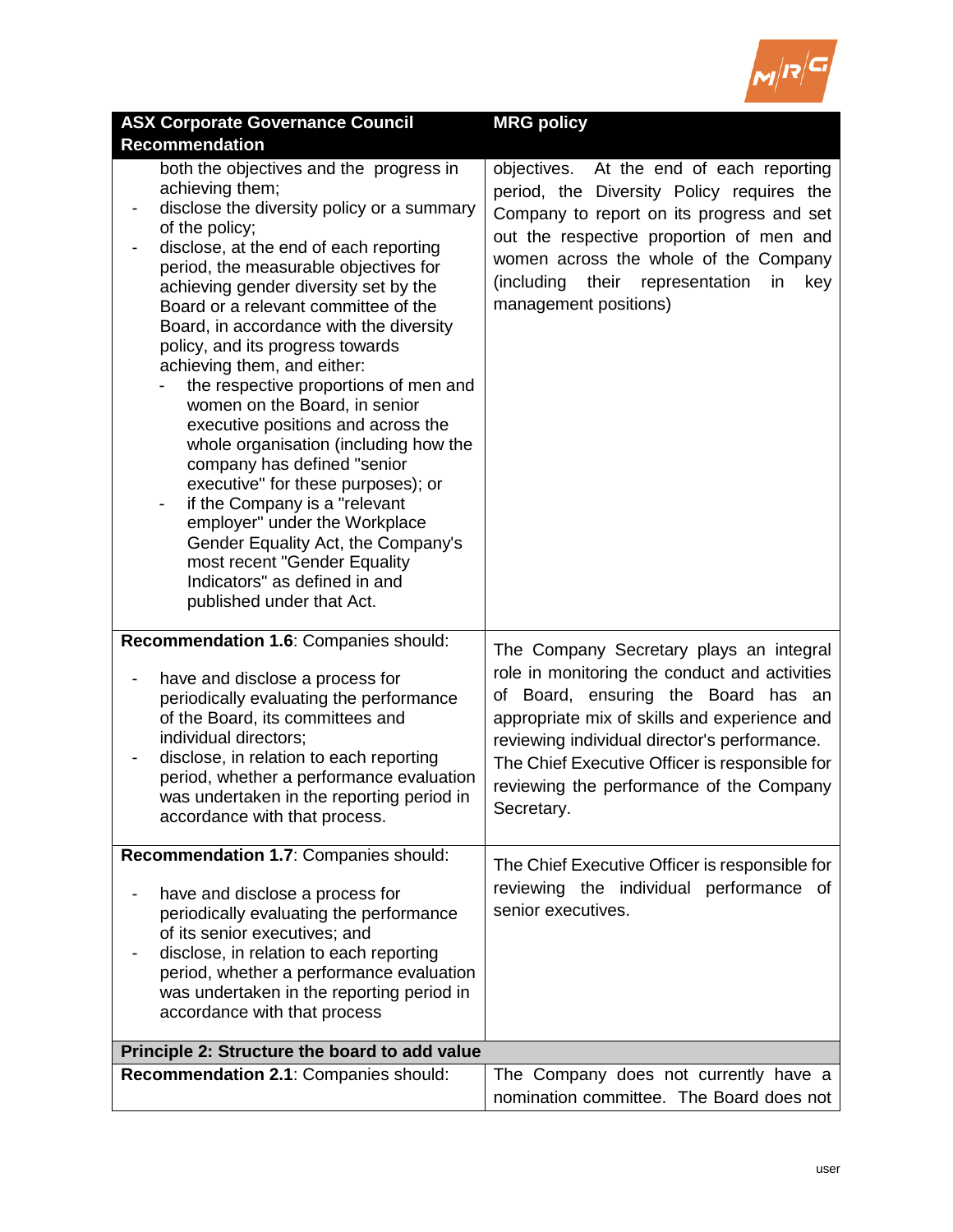

| <b>ASX Corporate Governance Council</b>                                                                                                                                                                                                                                                                                                                                                                                                                                                                                                                                                                                                                                                                                                                                                                                                          | <b>MRG policy</b>                                                                                                                                                                                                                                                                                                                           |
|--------------------------------------------------------------------------------------------------------------------------------------------------------------------------------------------------------------------------------------------------------------------------------------------------------------------------------------------------------------------------------------------------------------------------------------------------------------------------------------------------------------------------------------------------------------------------------------------------------------------------------------------------------------------------------------------------------------------------------------------------------------------------------------------------------------------------------------------------|---------------------------------------------------------------------------------------------------------------------------------------------------------------------------------------------------------------------------------------------------------------------------------------------------------------------------------------------|
| <b>Recommendation</b>                                                                                                                                                                                                                                                                                                                                                                                                                                                                                                                                                                                                                                                                                                                                                                                                                            |                                                                                                                                                                                                                                                                                                                                             |
| both the objectives and the progress in<br>achieving them;<br>disclose the diversity policy or a summary<br>of the policy;<br>disclose, at the end of each reporting<br>period, the measurable objectives for<br>achieving gender diversity set by the<br>Board or a relevant committee of the<br>Board, in accordance with the diversity<br>policy, and its progress towards<br>achieving them, and either:<br>the respective proportions of men and<br>women on the Board, in senior<br>executive positions and across the<br>whole organisation (including how the<br>company has defined "senior<br>executive" for these purposes); or<br>if the Company is a "relevant<br>employer" under the Workplace<br>Gender Equality Act, the Company's<br>most recent "Gender Equality<br>Indicators" as defined in and<br>published under that Act. | objectives. At the end of each reporting<br>period, the Diversity Policy requires the<br>Company to report on its progress and set<br>out the respective proportion of men and<br>women across the whole of the Company<br>(including<br>their<br>representation<br>in<br>key<br>management positions)                                      |
| Recommendation 1.6: Companies should:<br>have and disclose a process for<br>periodically evaluating the performance<br>of the Board, its committees and<br>individual directors;<br>disclose, in relation to each reporting<br>period, whether a performance evaluation<br>was undertaken in the reporting period in<br>accordance with that process.                                                                                                                                                                                                                                                                                                                                                                                                                                                                                            | The Company Secretary plays an integral<br>role in monitoring the conduct and activities<br>of Board, ensuring the Board has an<br>appropriate mix of skills and experience and<br>reviewing individual director's performance.<br>The Chief Executive Officer is responsible for<br>reviewing the performance of the Company<br>Secretary. |
| Recommendation 1.7: Companies should:                                                                                                                                                                                                                                                                                                                                                                                                                                                                                                                                                                                                                                                                                                                                                                                                            |                                                                                                                                                                                                                                                                                                                                             |
| have and disclose a process for<br>periodically evaluating the performance<br>of its senior executives; and<br>disclose, in relation to each reporting<br>period, whether a performance evaluation<br>was undertaken in the reporting period in<br>accordance with that process                                                                                                                                                                                                                                                                                                                                                                                                                                                                                                                                                                  | The Chief Executive Officer is responsible for<br>reviewing the individual performance of<br>senior executives.                                                                                                                                                                                                                             |
| Principle 2: Structure the board to add value                                                                                                                                                                                                                                                                                                                                                                                                                                                                                                                                                                                                                                                                                                                                                                                                    |                                                                                                                                                                                                                                                                                                                                             |
| Recommendation 2.1: Companies should:                                                                                                                                                                                                                                                                                                                                                                                                                                                                                                                                                                                                                                                                                                                                                                                                            | The Company does not currently have a<br>nomination committee. The Board does not                                                                                                                                                                                                                                                           |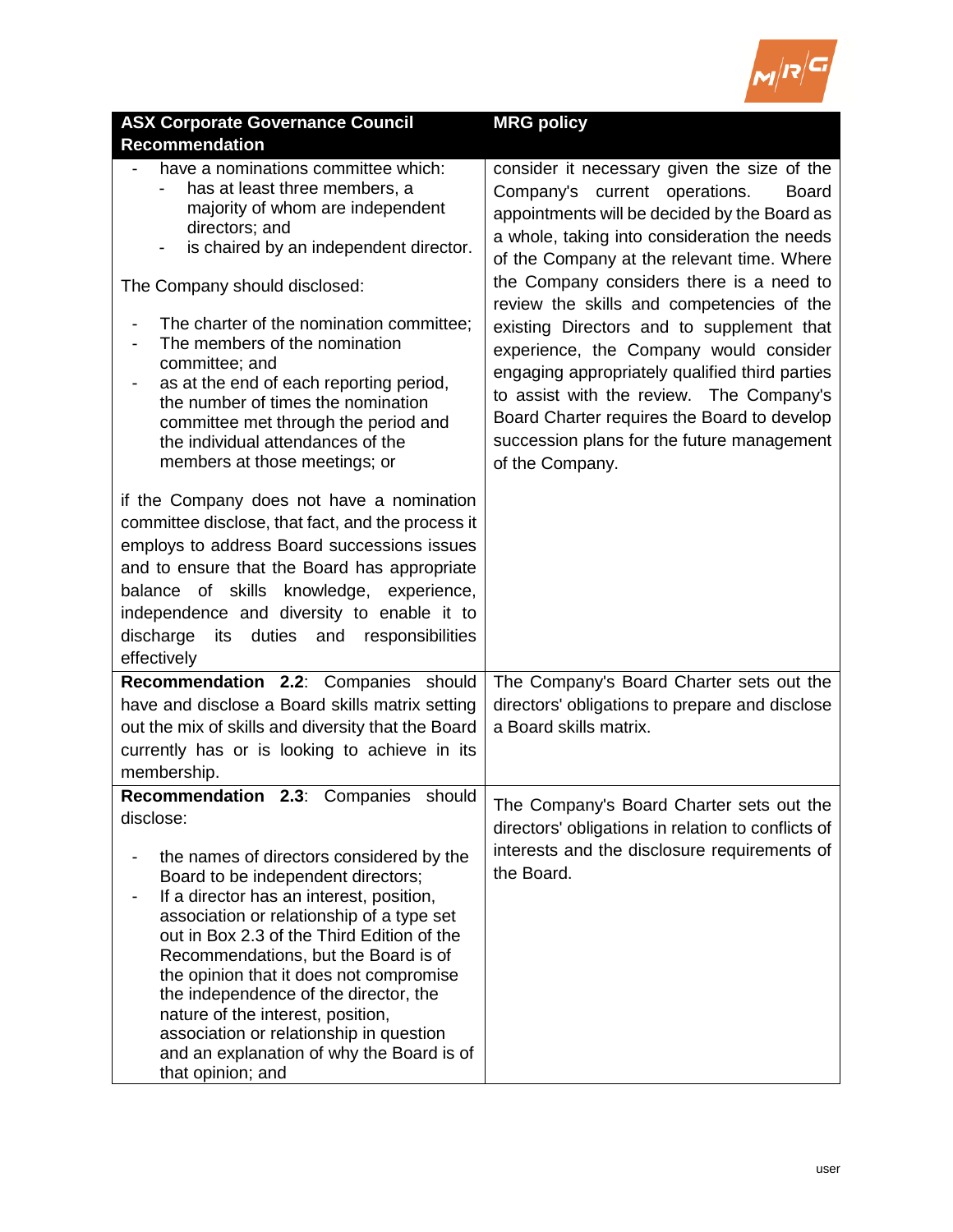

| <b>ASX Corporate Governance Council</b>                                                                                                                                                                                                                                                                                                                                                                                                                                                                                                                  | <b>MRG policy</b>                                                                                                                                                                                                                                                                                                                                                                                                                                                                                                                                                                                                     |
|----------------------------------------------------------------------------------------------------------------------------------------------------------------------------------------------------------------------------------------------------------------------------------------------------------------------------------------------------------------------------------------------------------------------------------------------------------------------------------------------------------------------------------------------------------|-----------------------------------------------------------------------------------------------------------------------------------------------------------------------------------------------------------------------------------------------------------------------------------------------------------------------------------------------------------------------------------------------------------------------------------------------------------------------------------------------------------------------------------------------------------------------------------------------------------------------|
| <b>Recommendation</b>                                                                                                                                                                                                                                                                                                                                                                                                                                                                                                                                    |                                                                                                                                                                                                                                                                                                                                                                                                                                                                                                                                                                                                                       |
| have a nominations committee which:<br>has at least three members, a<br>majority of whom are independent<br>directors; and<br>is chaired by an independent director.<br>$\blacksquare$<br>The Company should disclosed:<br>The charter of the nomination committee;<br>The members of the nomination<br>$\qquad \qquad \blacksquare$<br>committee; and<br>as at the end of each reporting period,<br>the number of times the nomination<br>committee met through the period and<br>the individual attendances of the                                     | consider it necessary given the size of the<br>Company's current operations.<br><b>Board</b><br>appointments will be decided by the Board as<br>a whole, taking into consideration the needs<br>of the Company at the relevant time. Where<br>the Company considers there is a need to<br>review the skills and competencies of the<br>existing Directors and to supplement that<br>experience, the Company would consider<br>engaging appropriately qualified third parties<br>to assist with the review. The Company's<br>Board Charter requires the Board to develop<br>succession plans for the future management |
| members at those meetings; or<br>if the Company does not have a nomination<br>committee disclose, that fact, and the process it<br>employs to address Board successions issues<br>and to ensure that the Board has appropriate<br>balance of skills knowledge, experience,<br>independence and diversity to enable it to<br>its duties<br>discharge<br>and<br>responsibilities<br>effectively                                                                                                                                                            | of the Company.                                                                                                                                                                                                                                                                                                                                                                                                                                                                                                                                                                                                       |
| Recommendation 2.2: Companies should<br>have and disclose a Board skills matrix setting<br>out the mix of skills and diversity that the Board<br>currently has or is looking to achieve in its<br>membership.                                                                                                                                                                                                                                                                                                                                            | The Company's Board Charter sets out the<br>directors' obligations to prepare and disclose<br>a Board skills matrix.                                                                                                                                                                                                                                                                                                                                                                                                                                                                                                  |
| Recommendation 2.3: Companies should<br>disclose:<br>the names of directors considered by the<br>Board to be independent directors;<br>If a director has an interest, position,<br>association or relationship of a type set<br>out in Box 2.3 of the Third Edition of the<br>Recommendations, but the Board is of<br>the opinion that it does not compromise<br>the independence of the director, the<br>nature of the interest, position,<br>association or relationship in question<br>and an explanation of why the Board is of<br>that opinion; and | The Company's Board Charter sets out the<br>directors' obligations in relation to conflicts of<br>interests and the disclosure requirements of<br>the Board.                                                                                                                                                                                                                                                                                                                                                                                                                                                          |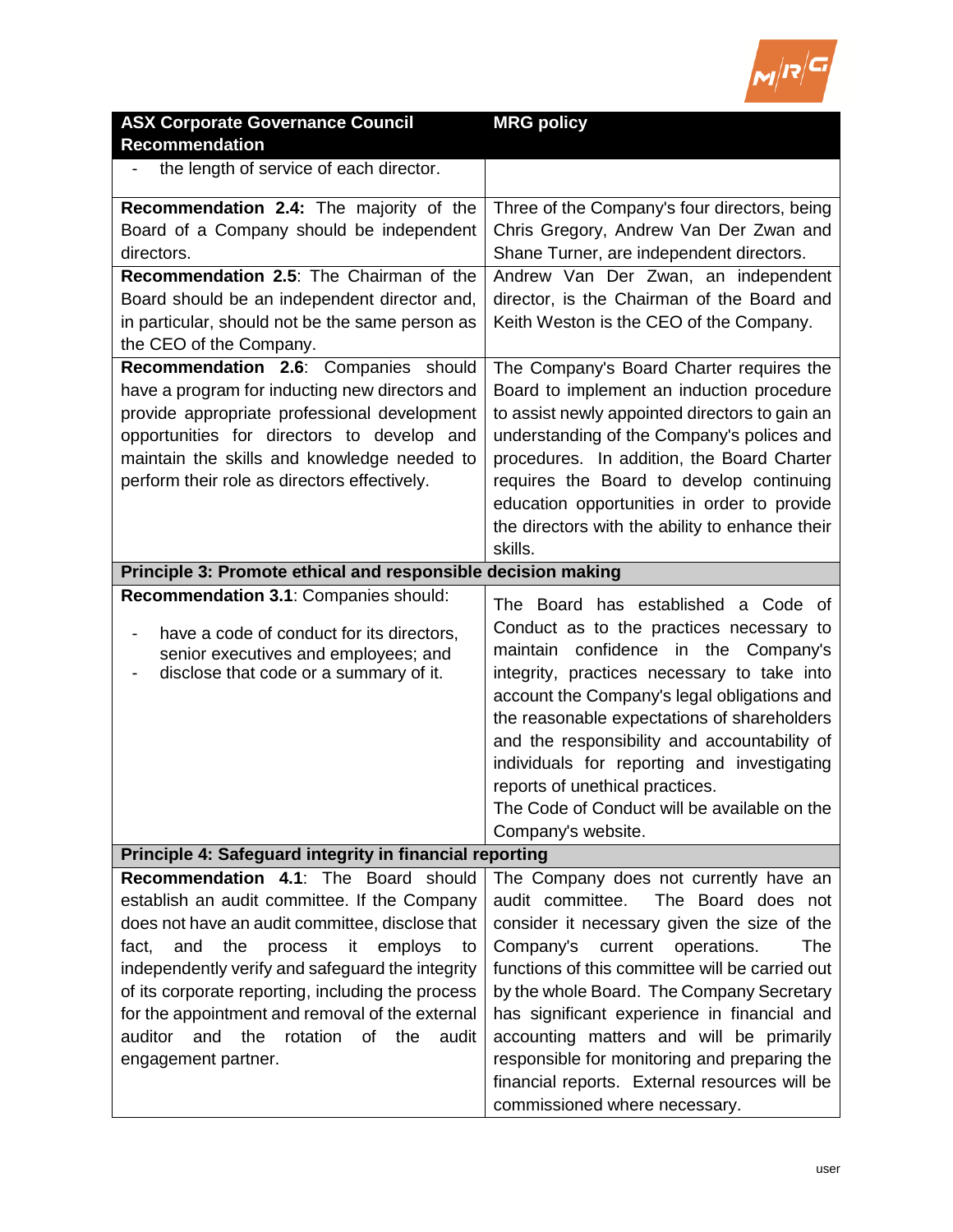

| <b>ASX Corporate Governance Council</b>                                                                                                                                                                                                                                                                                                                                                                                                        | <b>MRG policy</b>                                                                                                                                                                                                                                                                                                                                                                                                                                                                                          |
|------------------------------------------------------------------------------------------------------------------------------------------------------------------------------------------------------------------------------------------------------------------------------------------------------------------------------------------------------------------------------------------------------------------------------------------------|------------------------------------------------------------------------------------------------------------------------------------------------------------------------------------------------------------------------------------------------------------------------------------------------------------------------------------------------------------------------------------------------------------------------------------------------------------------------------------------------------------|
| <b>Recommendation</b>                                                                                                                                                                                                                                                                                                                                                                                                                          |                                                                                                                                                                                                                                                                                                                                                                                                                                                                                                            |
| the length of service of each director.                                                                                                                                                                                                                                                                                                                                                                                                        |                                                                                                                                                                                                                                                                                                                                                                                                                                                                                                            |
| Recommendation 2.4: The majority of the<br>Board of a Company should be independent<br>directors.<br>Recommendation 2.5: The Chairman of the<br>Board should be an independent director and,<br>in particular, should not be the same person as                                                                                                                                                                                                | Three of the Company's four directors, being<br>Chris Gregory, Andrew Van Der Zwan and<br>Shane Turner, are independent directors.<br>Andrew Van Der Zwan, an independent<br>director, is the Chairman of the Board and<br>Keith Weston is the CEO of the Company.                                                                                                                                                                                                                                         |
| the CEO of the Company.                                                                                                                                                                                                                                                                                                                                                                                                                        |                                                                                                                                                                                                                                                                                                                                                                                                                                                                                                            |
| Recommendation 2.6: Companies should<br>have a program for inducting new directors and<br>provide appropriate professional development<br>opportunities for directors to develop and<br>maintain the skills and knowledge needed to<br>perform their role as directors effectively.                                                                                                                                                            | The Company's Board Charter requires the<br>Board to implement an induction procedure<br>to assist newly appointed directors to gain an<br>understanding of the Company's polices and<br>procedures. In addition, the Board Charter<br>requires the Board to develop continuing<br>education opportunities in order to provide<br>the directors with the ability to enhance their<br>skills.                                                                                                               |
| Principle 3: Promote ethical and responsible decision making                                                                                                                                                                                                                                                                                                                                                                                   |                                                                                                                                                                                                                                                                                                                                                                                                                                                                                                            |
| Recommendation 3.1: Companies should:<br>have a code of conduct for its directors,<br>senior executives and employees; and<br>disclose that code or a summary of it.                                                                                                                                                                                                                                                                           | The Board has established a Code of<br>Conduct as to the practices necessary to<br>maintain confidence in the Company's<br>integrity, practices necessary to take into<br>account the Company's legal obligations and<br>the reasonable expectations of shareholders<br>and the responsibility and accountability of<br>individuals for reporting and investigating<br>reports of unethical practices.<br>The Code of Conduct will be available on the<br>Company's website.                               |
| Principle 4: Safeguard integrity in financial reporting                                                                                                                                                                                                                                                                                                                                                                                        |                                                                                                                                                                                                                                                                                                                                                                                                                                                                                                            |
| Recommendation 4.1: The Board should<br>establish an audit committee. If the Company<br>does not have an audit committee, disclose that<br>the<br>and<br>process<br>it<br>employs<br>fact,<br>to<br>independently verify and safeguard the integrity<br>of its corporate reporting, including the process<br>for the appointment and removal of the external<br>and<br>the<br>rotation<br>auditor<br>of<br>the<br>audit<br>engagement partner. | The Company does not currently have an<br>The Board does not<br>audit committee.<br>consider it necessary given the size of the<br>Company's<br>current<br>operations.<br>The<br>functions of this committee will be carried out<br>by the whole Board. The Company Secretary<br>has significant experience in financial and<br>accounting matters and will be primarily<br>responsible for monitoring and preparing the<br>financial reports. External resources will be<br>commissioned where necessary. |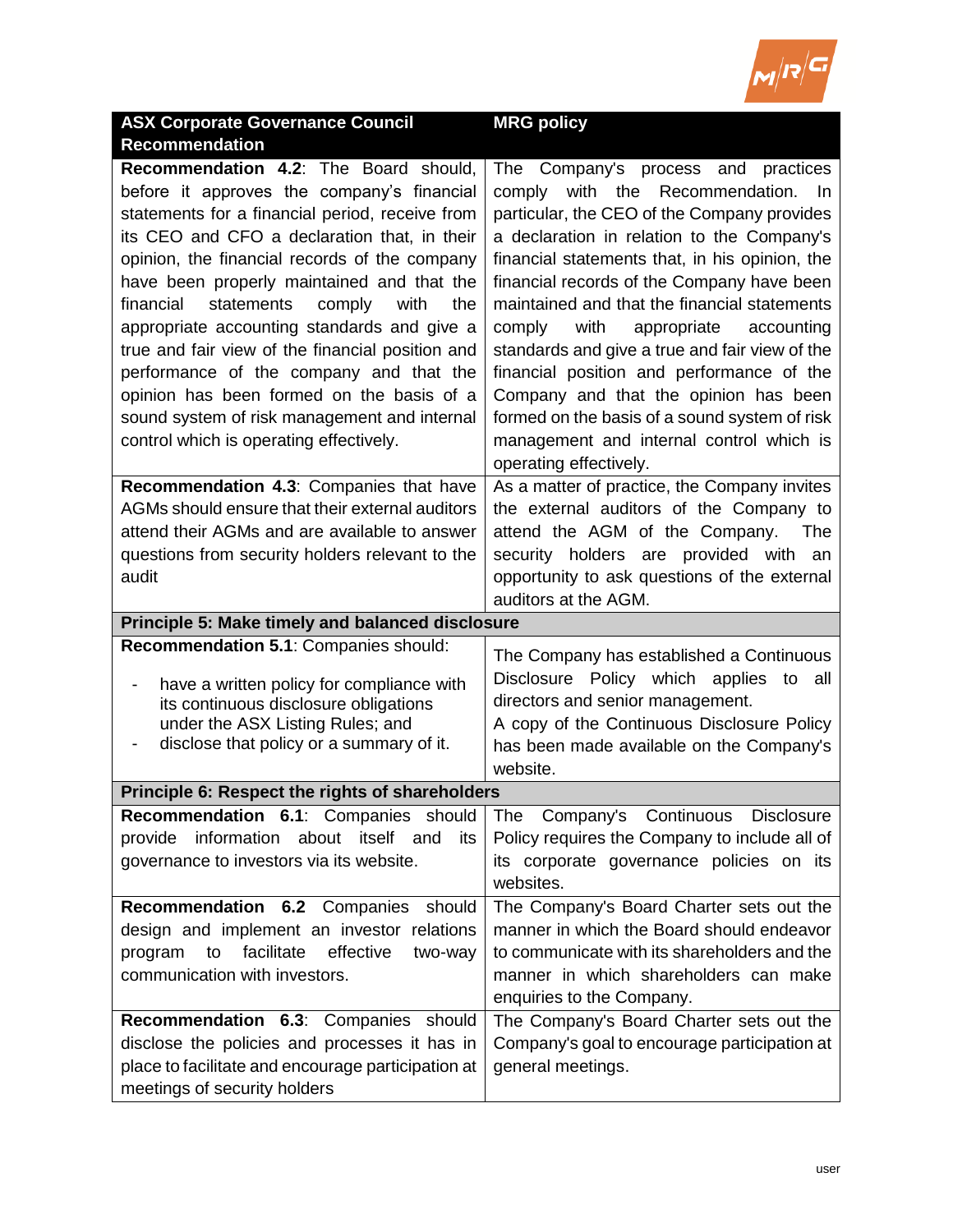

| <b>ASX Corporate Governance Council</b>                                                             | <b>MRG policy</b>                                                    |
|-----------------------------------------------------------------------------------------------------|----------------------------------------------------------------------|
| <b>Recommendation</b>                                                                               |                                                                      |
| Recommendation 4.2: The Board should,                                                               | Company's process and<br>The<br>practices                            |
| before it approves the company's financial                                                          | comply with the Recommendation. In                                   |
| statements for a financial period, receive from                                                     | particular, the CEO of the Company provides                          |
| its CEO and CFO a declaration that, in their                                                        | a declaration in relation to the Company's                           |
| opinion, the financial records of the company                                                       | financial statements that, in his opinion, the                       |
| have been properly maintained and that the                                                          | financial records of the Company have been                           |
| financial<br>statements<br>with<br>the<br>comply                                                    | maintained and that the financial statements                         |
| appropriate accounting standards and give a                                                         | with<br>comply<br>appropriate<br>accounting                          |
| true and fair view of the financial position and                                                    | standards and give a true and fair view of the                       |
| performance of the company and that the                                                             | financial position and performance of the                            |
| opinion has been formed on the basis of a                                                           | Company and that the opinion has been                                |
| sound system of risk management and internal                                                        | formed on the basis of a sound system of risk                        |
| control which is operating effectively.                                                             | management and internal control which is                             |
|                                                                                                     | operating effectively.                                               |
| Recommendation 4.3: Companies that have                                                             | As a matter of practice, the Company invites                         |
| AGMs should ensure that their external auditors                                                     | the external auditors of the Company to                              |
| attend their AGMs and are available to answer                                                       | attend the AGM of the Company.<br>The                                |
| questions from security holders relevant to the                                                     | security holders are provided with an                                |
| audit                                                                                               | opportunity to ask questions of the external<br>auditors at the AGM. |
|                                                                                                     |                                                                      |
|                                                                                                     |                                                                      |
| Principle 5: Make timely and balanced disclosure                                                    |                                                                      |
| Recommendation 5.1: Companies should:                                                               | The Company has established a Continuous                             |
| have a written policy for compliance with                                                           | Disclosure Policy which applies to all                               |
| its continuous disclosure obligations                                                               | directors and senior management.                                     |
| under the ASX Listing Rules; and                                                                    | A copy of the Continuous Disclosure Policy                           |
| disclose that policy or a summary of it.                                                            | has been made available on the Company's                             |
|                                                                                                     | website.                                                             |
| Principle 6: Respect the rights of shareholders                                                     |                                                                      |
| Recommendation 6.1: Companies should                                                                | The Company's Continuous Disclosure                                  |
| information about itself and<br>provide<br>its                                                      | Policy requires the Company to include all of                        |
| governance to investors via its website.                                                            | its corporate governance policies on its                             |
|                                                                                                     | websites.                                                            |
| Recommendation 6.2 Companies<br>should                                                              | The Company's Board Charter sets out the                             |
| design and implement an investor relations                                                          | manner in which the Board should endeavor                            |
| facilitate<br>program<br>to<br>effective<br>two-way                                                 | to communicate with its shareholders and the                         |
| communication with investors.                                                                       | manner in which shareholders can make                                |
|                                                                                                     | enquiries to the Company.                                            |
| Recommendation 6.3: Companies should                                                                | The Company's Board Charter sets out the                             |
| disclose the policies and processes it has in<br>place to facilitate and encourage participation at | Company's goal to encourage participation at<br>general meetings.    |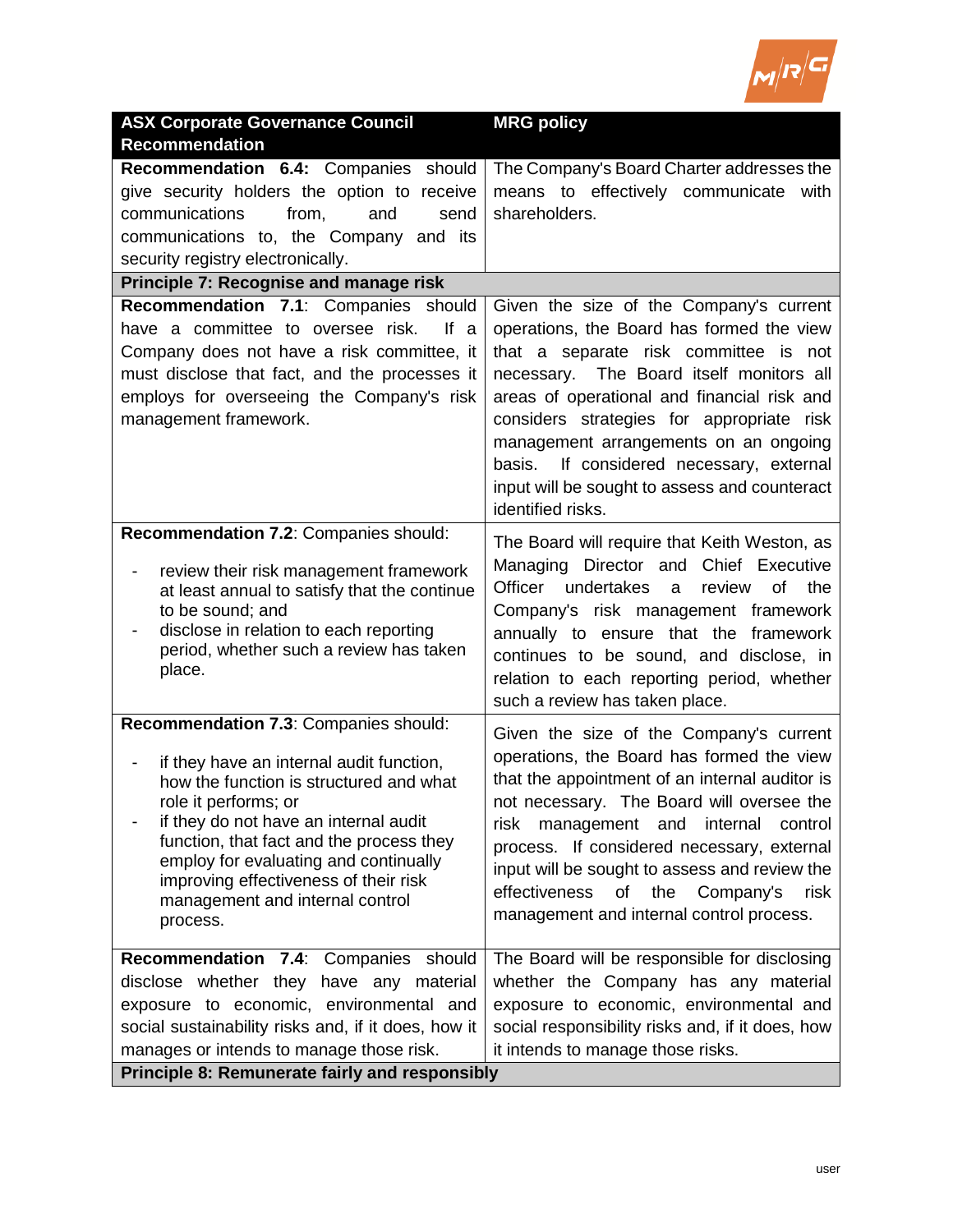

| <b>ASX Corporate Governance Council</b>                                                     | <b>MRG policy</b>                                 |
|---------------------------------------------------------------------------------------------|---------------------------------------------------|
| <b>Recommendation</b>                                                                       |                                                   |
| <b>Recommendation 6.4: Companies</b><br>should                                              | The Company's Board Charter addresses the         |
| give security holders the option to receive                                                 | means to effectively communicate<br>with          |
| communications<br>from,<br>and<br>send                                                      | shareholders.                                     |
| communications to, the Company and its                                                      |                                                   |
| security registry electronically.                                                           |                                                   |
| Principle 7: Recognise and manage risk                                                      |                                                   |
| Recommendation 7.1: Companies should                                                        | Given the size of the Company's current           |
| have a committee to oversee risk.<br>If a                                                   | operations, the Board has formed the view         |
| Company does not have a risk committee, it                                                  | that a separate risk committee is not             |
| must disclose that fact, and the processes it                                               | necessary. The Board itself monitors all          |
| employs for overseeing the Company's risk                                                   | areas of operational and financial risk and       |
| management framework.                                                                       | considers strategies for appropriate risk         |
|                                                                                             | management arrangements on an ongoing             |
|                                                                                             | If considered necessary, external<br>basis.       |
|                                                                                             | input will be sought to assess and counteract     |
|                                                                                             | identified risks.                                 |
| Recommendation 7.2: Companies should:                                                       | The Board will require that Keith Weston, as      |
|                                                                                             | Managing Director and Chief Executive             |
| review their risk management framework<br>-<br>at least annual to satisfy that the continue | Officer<br>undertakes<br>the<br>review<br>0f<br>a |
| to be sound; and                                                                            | Company's risk management framework               |
| disclose in relation to each reporting                                                      | annually to ensure that the framework             |
| period, whether such a review has taken                                                     | continues to be sound, and disclose, in           |
| place.                                                                                      | relation to each reporting period, whether        |
|                                                                                             | such a review has taken place.                    |
| Recommendation 7.3: Companies should:                                                       |                                                   |
|                                                                                             | Given the size of the Company's current           |
| if they have an internal audit function,<br>-                                               | operations, the Board has formed the view         |
| how the function is structured and what                                                     | that the appointment of an internal auditor is    |
| role it performs; or                                                                        | not necessary. The Board will oversee the         |
| if they do not have an internal audit                                                       | management and<br>internal<br>control<br>risk     |
| function, that fact and the process they<br>employ for evaluating and continually           | process. If considered necessary, external        |
| improving effectiveness of their risk                                                       | input will be sought to assess and review the     |
| management and internal control                                                             | effectiveness<br>of<br>the<br>Company's<br>risk   |
| process.                                                                                    | management and internal control process.          |
|                                                                                             |                                                   |
| Recommendation 7.4: Companies should                                                        | The Board will be responsible for disclosing      |
| disclose whether they have any material                                                     | whether the Company has any material              |
| exposure to economic, environmental and                                                     | exposure to economic, environmental and           |
| social sustainability risks and, if it does, how it                                         | social responsibility risks and, if it does, how  |
| manages or intends to manage those risk.                                                    | it intends to manage those risks.                 |
| Principle 8: Remunerate fairly and responsibly                                              |                                                   |